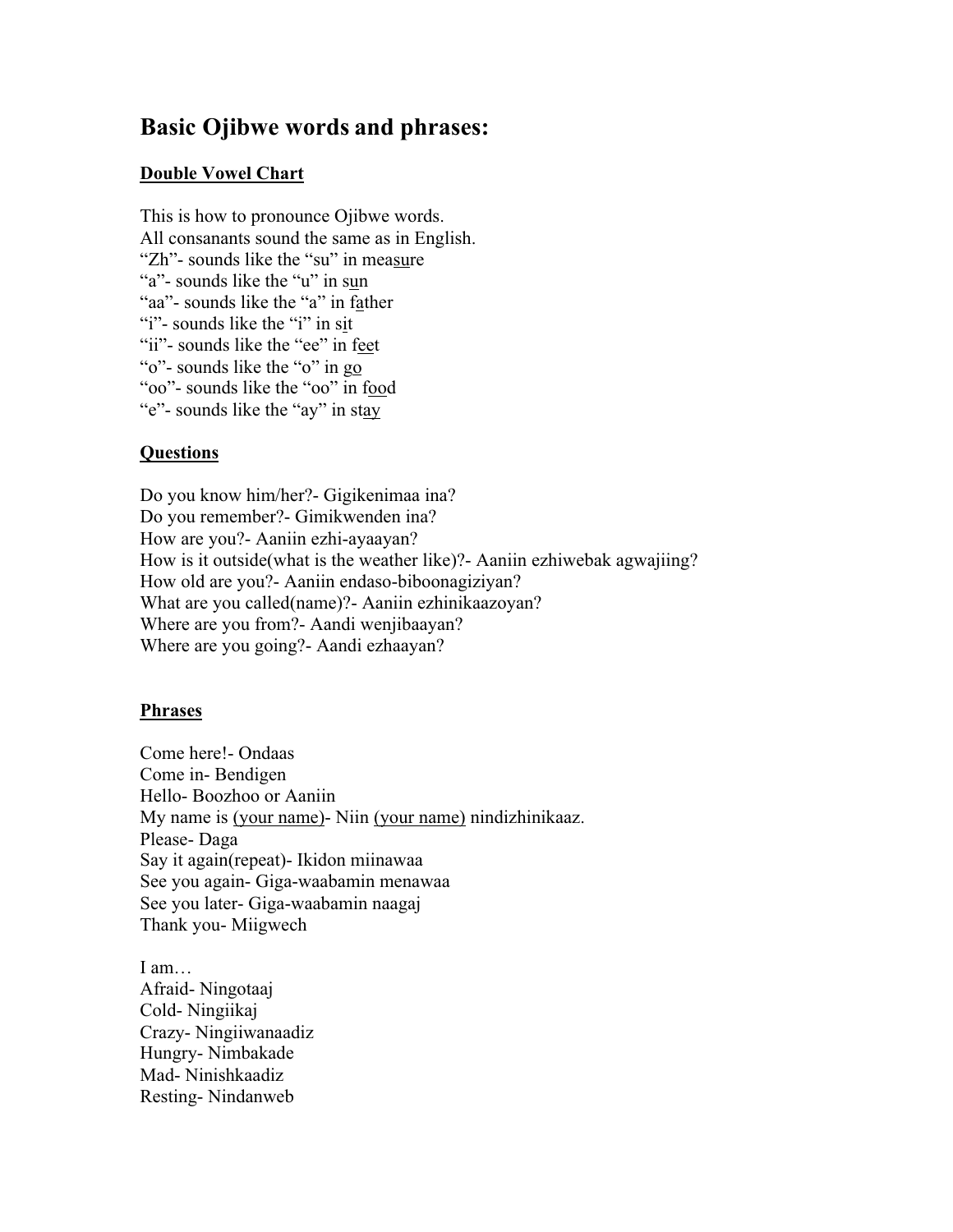# **Basic Ojibwe words and phrases:**

#### **Double Vowel Chart**

This is how to pronounce Ojibwe words. All consanants sound the same as in English. "Zh"- sounds like the "su" in measure "a"- sounds like the "u" in sun "aa"- sounds like the "a" in father "i"- sounds like the "i" in sit "ii"- sounds like the "ee" in feet "o"- sounds like the "o" in go "oo"- sounds like the "oo" in food "e"- sounds like the "ay" in stay

# **Questions**

Do you know him/her?- Gigikenimaa ina? Do you remember?- Gimikwenden ina? How are you?- Aaniin ezhi-ayaayan? How is it outside(what is the weather like)?- Aaniin ezhiwebak agwajiing? How old are you?- Aaniin endaso-biboonagiziyan? What are you called(name)?- Aaniin ezhinikaazoyan? Where are you from?- Aandi wenjibaayan? Where are you going?- Aandi ezhaayan?

#### **Phrases**

Come here!- Ondaas Come in- Bendigen Hello- Boozhoo or Aaniin My name is (your name)- Niin (your name) nindizhinikaaz. Please- Daga Say it again(repeat)- Ikidon miinawaa See you again- Giga-waabamin menawaa See you later- Giga-waabamin naagaj Thank you- Miigwech

I am… Afraid- Ningotaaj Cold- Ningiikaj Crazy- Ningiiwanaadiz Hungry- Nimbakade Mad- Ninishkaadiz Resting- Nindanweb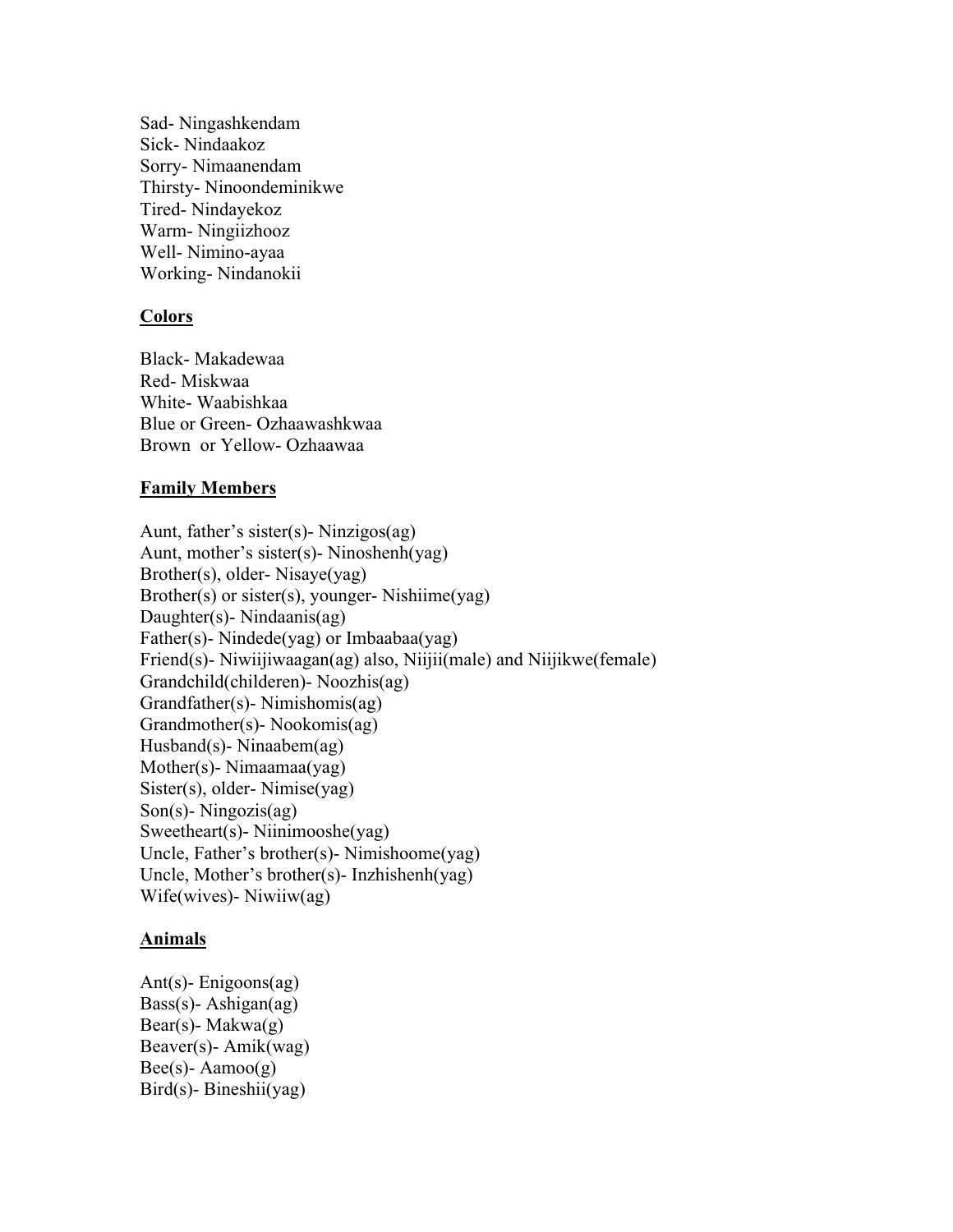Sad- Ningashkendam Sick- Nindaakoz Sorry- Nimaanendam Thirsty- Ninoondeminikwe Tired- Nindayekoz Warm- Ningiizhooz Well- Nimino-ayaa Working- Nindanokii

# **Colors**

Black- Makadewaa Red- Miskwaa White- Waabishkaa Blue or Green- Ozhaawashkwaa Brown or Yellow- Ozhaawaa

#### **Family Members**

Aunt, father's sister(s)- Ninzigos(ag) Aunt, mother's sister(s)- Ninoshenh(yag) Brother(s), older- Nisaye(yag) Brother(s) or sister(s), younger- Nishiime(yag) Daughter(s)- Nindaanis(ag) Father(s)- Nindede(yag) or Imbaabaa(yag) Friend(s)- Niwiijiwaagan(ag) also, Niijii(male) and Niijikwe(female) Grandchild(childeren)- Noozhis(ag) Grandfather(s)- Nimishomis(ag) Grandmother(s)- Nookomis(ag) Husband(s)- Ninaabem(ag) Mother(s)- Nimaamaa(yag) Sister(s), older- Nimise(yag) Son(s)- Ningozis(ag) Sweetheart(s)- Niinimooshe(yag) Uncle, Father's brother(s)- Nimishoome(yag) Uncle, Mother's brother(s)- Inzhishenh(yag) Wife(wives)- Niwiiw(ag)

#### **Animals**

Ant(s)- Enigoons(ag) Bass(s)- Ashigan(ag) Bear(s)- Makwa $(g)$ Beaver(s)- Amik(wag)  $Bee(s)$ - Aamoo $(g)$ Bird(s)- Bineshii(yag)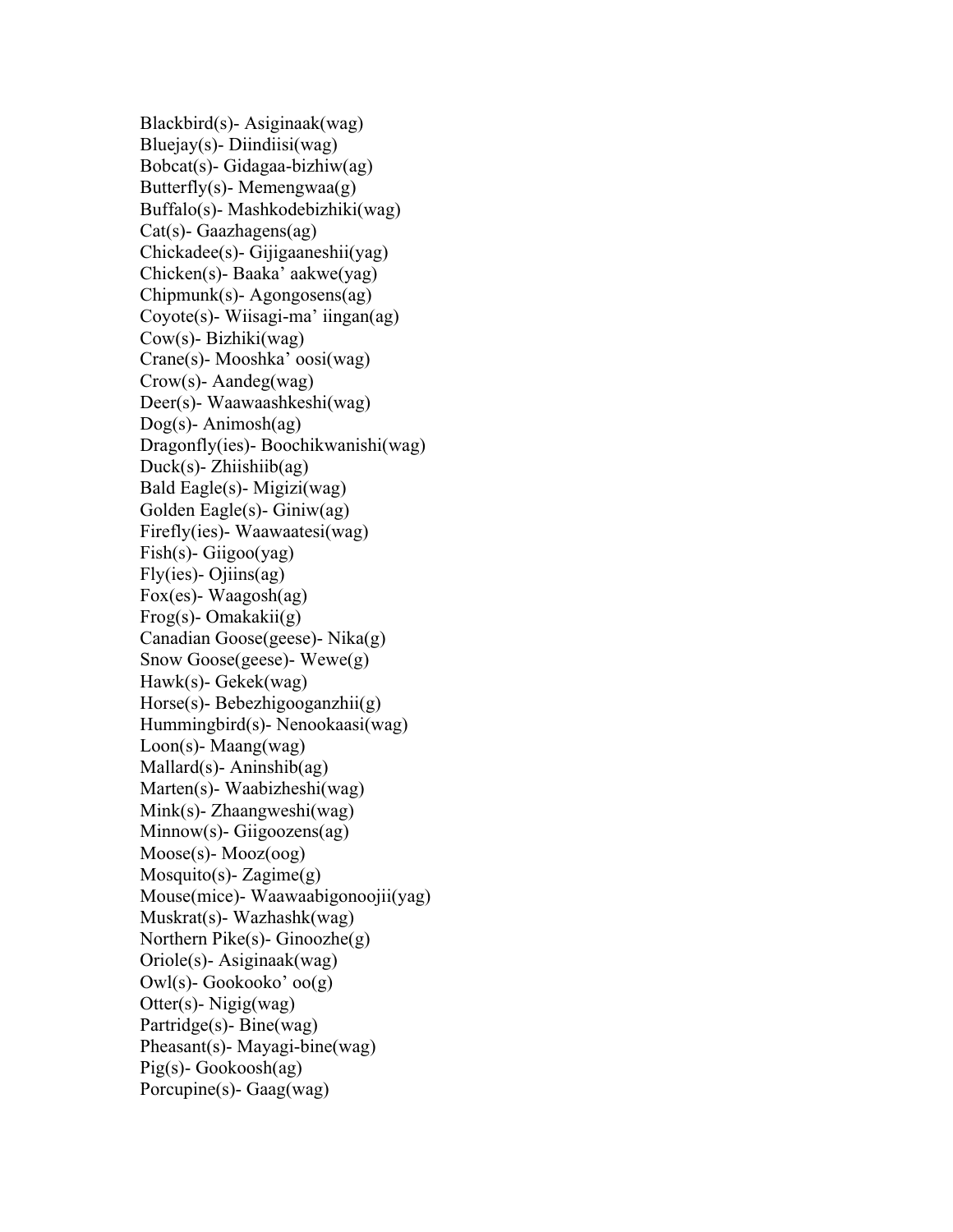Blackbird(s)- Asiginaak(wag) Bluejay(s) - Diindiisi(wag) Bobcat(s)- Gidagaa-bizhiw(ag) Butterfly(s)- Memengwaa(g) Buffalo(s)- Mashkodebizhiki(wag) Cat(s)- Gaazhagens(ag) Chickadee(s)- Gijigaaneshii(yag) Chicken(s)- Baaka' aakwe(yag) Chipmunk(s)- Agongosens(ag) Coyote(s)- Wiisagi-ma' iingan(ag) Cow(s)- Bizhiki(wag) Crane(s)- Mooshka' oosi(wag) Crow(s)- Aandeg(wag) Deer(s)- Waawaashkeshi(wag) Dog(s)- Animosh(ag) Dragonfly(ies)- Boochikwanishi(wag) Duck(s)- Zhiishiib(ag) Bald Eagle(s)- Migizi(wag) Golden Eagle(s)- Giniw(ag) Firefly(ies)- Waawaatesi(wag) Fish(s)- Giigoo(yag)  $Fly(ies)$ - Ojiins(ag) Fox(es)- Waagosh(ag) Frog(s)- Omakakii(g) Canadian Goose(geese)- Nika(g) Snow Goose(geese)- Wewe(g) Hawk(s)- Gekek(wag) Horse(s)- Bebezhigooganzhii(g) Hummingbird(s)- Nenookaasi(wag) Loon(s)- Maang(wag) Mallard(s)- Aninshib(ag) Marten(s)- Waabizheshi(wag) Mink(s)- Zhaangweshi(wag) Minnow(s)- Giigoozens(ag) Moose(s)- Mooz(oog) Mosquito(s)-  $Zagime(g)$ Mouse(mice)- Waawaabigonoojii(yag) Muskrat(s)- Wazhashk(wag) Northern Pike(s)- Ginoozhe(g) Oriole(s)- Asiginaak(wag) Owl(s)- Gookooko' oo(g) Otter(s)- Nigig(wag) Partridge(s)- Bine(wag) Pheasant(s)- Mayagi-bine(wag) Pig(s)- Gookoosh(ag) Porcupine(s)- Gaag(wag)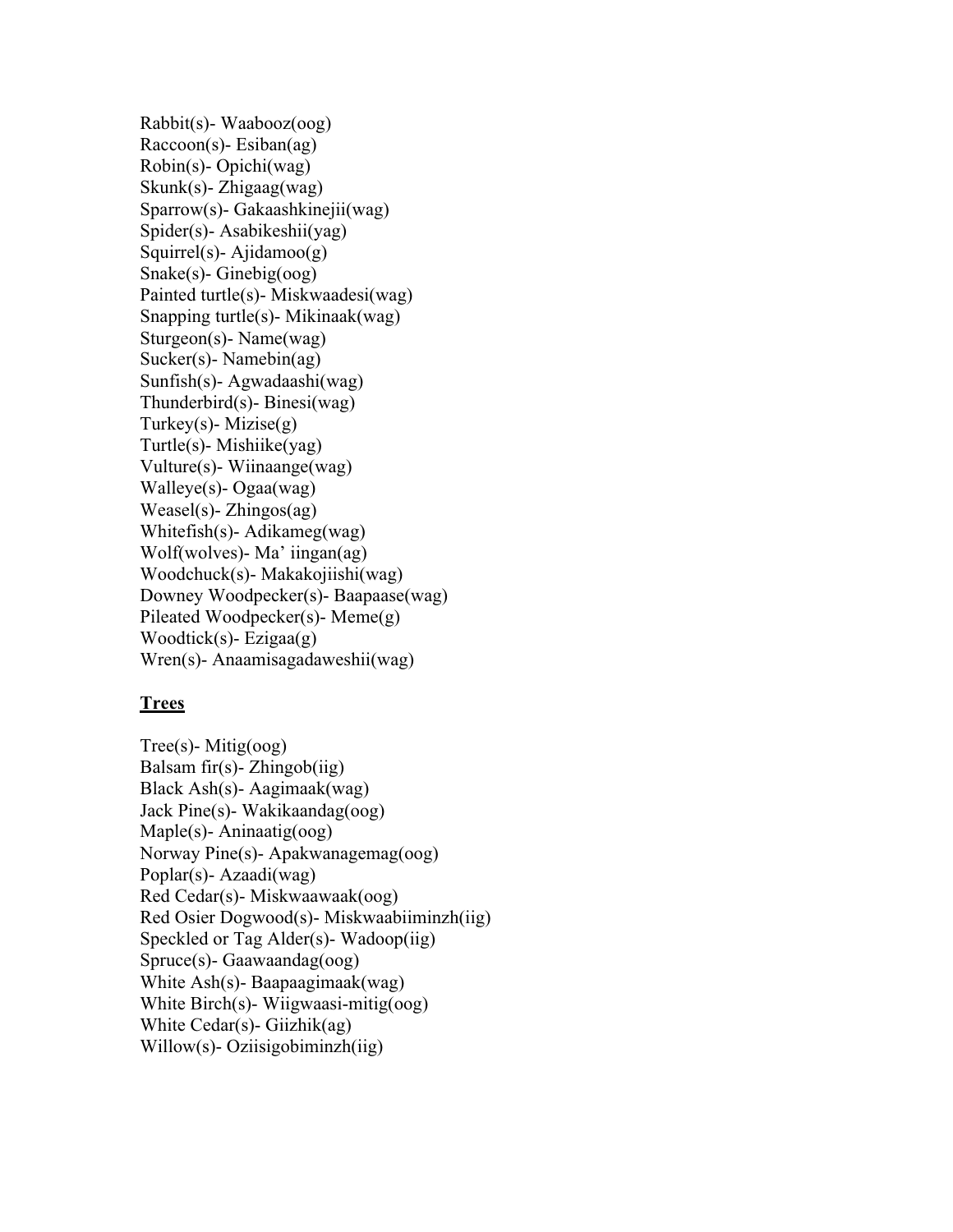Rabbit(s)- Waabooz(oog) Raccoon(s)- Esiban(ag) Robin(s)- Opichi(wag) Skunk(s)- Zhigaag(wag) Sparrow(s)- Gakaashkinejii(wag) Spider(s)- Asabikeshii(yag) Squirrel(s)- Ajidamoo(g) Snake(s)- Ginebig(oog) Painted turtle(s)- Miskwaadesi(wag) Snapping turtle(s)- Mikinaak(wag) Sturgeon(s)- Name(wag) Sucker(s)- Namebin(ag) Sunfish(s)- Agwadaashi(wag) Thunderbird(s)- Binesi(wag) Turkey(s)- Mizise $(g)$ Turtle(s)- Mishiike(yag) Vulture(s)- Wiinaange(wag) Walleye(s)- Ogaa(wag) Weasel(s)- Zhingos(ag) Whitefish(s)- Adikameg(wag) Wolf(wolves)- Ma' iingan(ag) Woodchuck(s)- Makakojiishi(wag) Downey Woodpecker(s)- Baapaase(wag) Pileated Woodpecker(s)- Meme(g) Woodtick(s) - Ezigaa(g) Wren(s)- Anaamisagadaweshii(wag)

#### **Trees**

Tree(s)- Mitig(oog) Balsam fir(s) - Zhingob(iig) Black Ash(s)- Aagimaak(wag) Jack Pine(s)- Wakikaandag(oog) Maple(s)- Aninaatig(oog) Norway Pine(s)- Apakwanagemag(oog) Poplar(s)- Azaadi(wag) Red Cedar(s)- Miskwaawaak(oog) Red Osier Dogwood(s)- Miskwaabiiminzh(iig) Speckled or Tag Alder(s)- Wadoop(iig) Spruce(s)- Gaawaandag(oog) White Ash(s)- Baapaagimaak(wag) White Birch(s)- Wiigwaasi-mitig(oog) White Cedar(s)- Giizhik(ag) Willow(s)- Oziisigobiminzh(iig)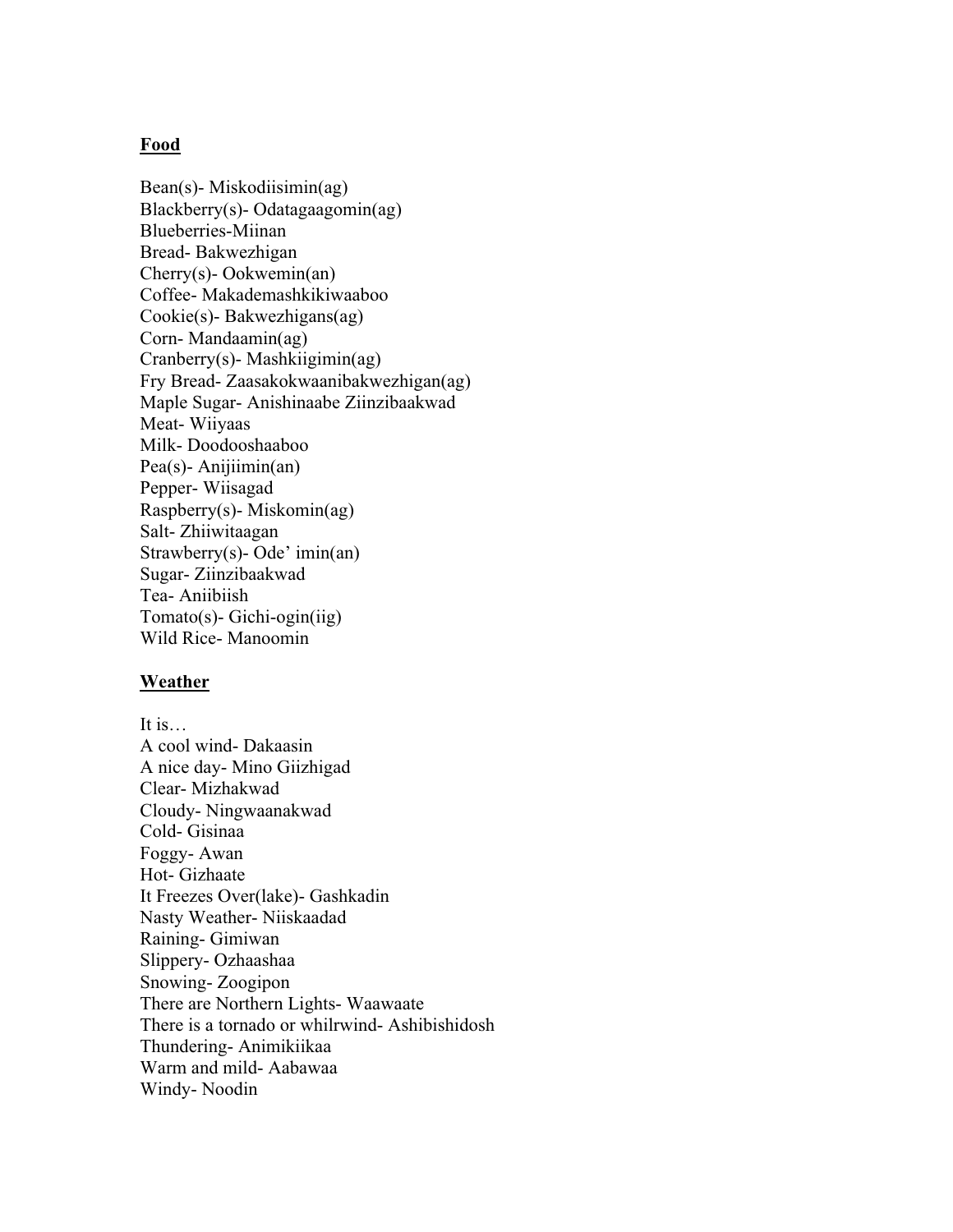#### **Food**

Bean(s)- Miskodiisimin(ag) Blackberry(s)- Odatagaagomin(ag) Blueberries-Miinan Bread- Bakwezhigan Cherry(s)- Ookwemin(an) Coffee- Makademashkikiwaaboo Cookie(s)- Bakwezhigans(ag) Corn- Mandaamin(ag) Cranberry(s)- Mashkiigimin(ag) Fry Bread- Zaasakokwaanibakwezhigan(ag) Maple Sugar- Anishinaabe Ziinzibaakwad Meat- Wiiyaas Milk- Doodooshaaboo Pea(s)- Anijiimin(an) Pepper- Wiisagad Raspberry(s)- Miskomin(ag) Salt- Zhiiwitaagan Strawberry(s)- Ode' imin(an) Sugar- Ziinzibaakwad Tea- Aniibiish Tomato(s)- Gichi-ogin(iig) Wild Rice- Manoomin

#### **Weather**

It is… A cool wind- Dakaasin A nice day- Mino Giizhigad Clear- Mizhakwad Cloudy- Ningwaanakwad Cold- Gisinaa Foggy- Awan Hot- Gizhaate It Freezes Over(lake)- Gashkadin Nasty Weather- Niiskaadad Raining- Gimiwan Slippery- Ozhaashaa Snowing- Zoogipon There are Northern Lights- Waawaate There is a tornado or whilrwind- Ashibishidosh Thundering- Animikiikaa Warm and mild- Aabawaa Windy- Noodin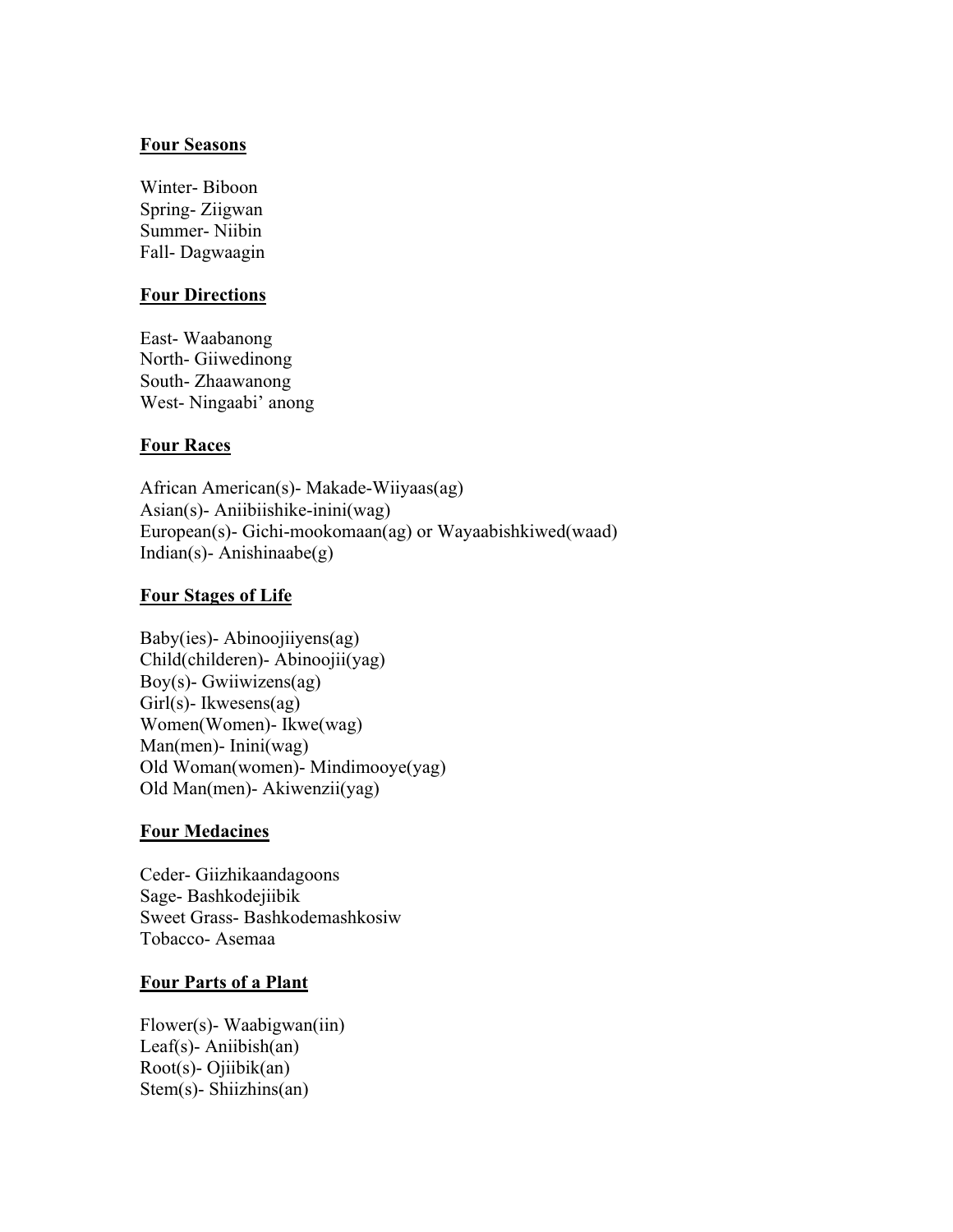#### **Four Seasons**

Winter- Biboon Spring- Ziigwan Summer- Niibin Fall- Dagwaagin

# **Four Directions**

East- Waabanong North- Giiwedinong South- Zhaawanong West- Ningaabi' anong

#### **Four Races**

African American(s)- Makade-Wiiyaas(ag) Asian(s)- Aniibiishike-inini(wag) European(s)- Gichi-mookomaan(ag) or Wayaabishkiwed(waad) Indian(s)-Anishinaabe(g)

#### **Four Stages of Life**

Baby(ies)- Abinoojiiyens(ag) Child(childeren)- Abinoojii(yag) Boy(s)- Gwiiwizens(ag) Girl(s)- Ikwesens(ag) Women(Women)- Ikwe(wag) Man(men)- Inini(wag) Old Woman(women)- Mindimooye(yag) Old Man(men)- Akiwenzii(yag)

#### **Four Medacines**

Ceder- Giizhikaandagoons Sage- Bashkodejiibik Sweet Grass- Bashkodemashkosiw Tobacco- Asemaa

#### **Four Parts of a Plant**

Flower(s)- Waabigwan(iin) Leaf(s)- Aniibish(an) Root(s)- Ojiibik(an) Stem(s)- Shiizhins(an)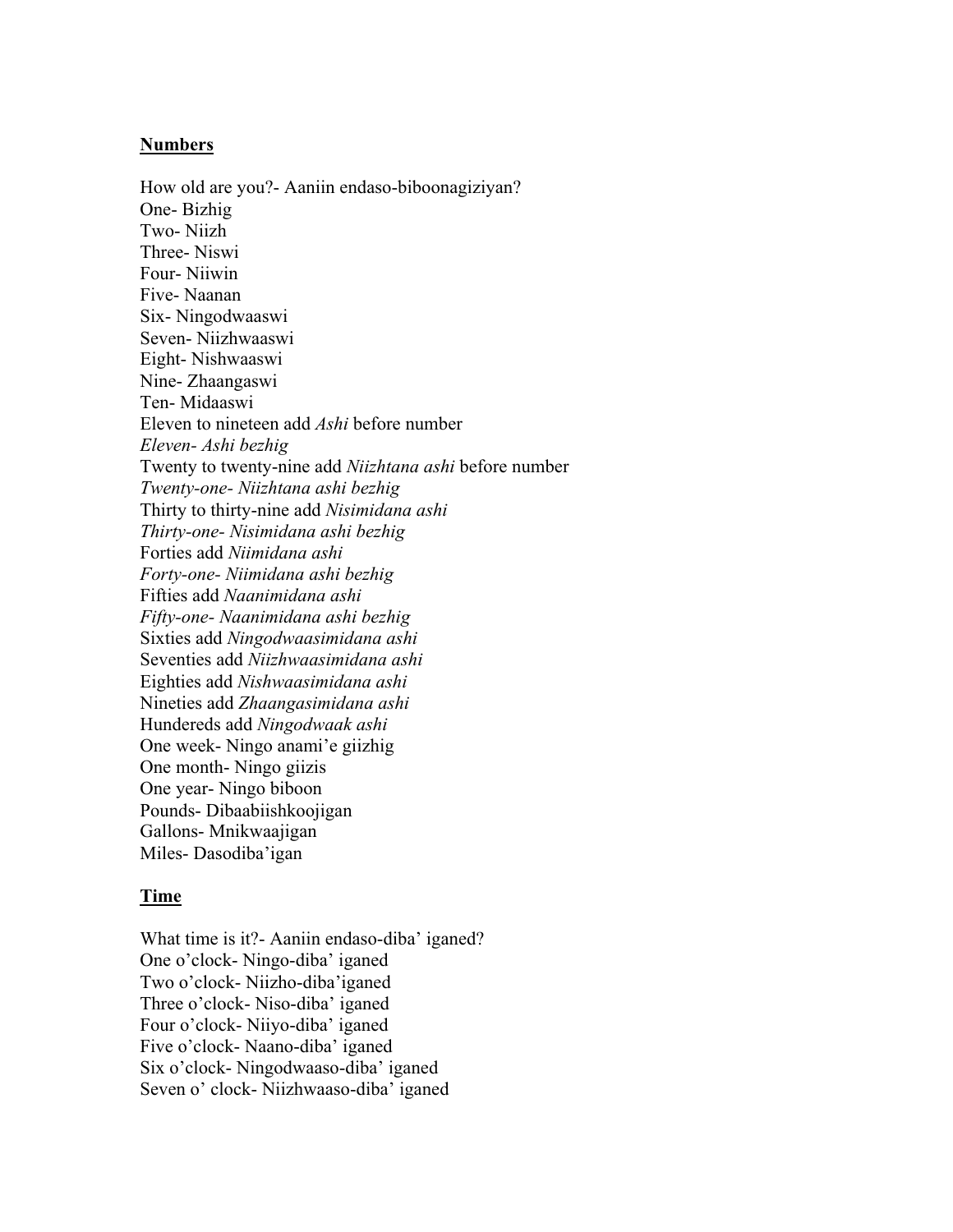#### **Numbers**

How old are you?- Aaniin endaso-biboonagiziyan? One- Bizhig Two- Niizh Three- Niswi Four- Niiwin Five- Naanan Six- Ningodwaaswi Seven- Niizhwaaswi Eight- Nishwaaswi Nine- Zhaangaswi Ten- Midaaswi Eleven to nineteen add *Ashi* before number *Eleven- Ashi bezhig* Twenty to twenty-nine add *Niizhtana ashi* before number *Twenty-one- Niizhtana ashi bezhig* Thirty to thirty-nine add *Nisimidana ashi Thirty-one- Nisimidana ashi bezhig* Forties add *Niimidana ashi Forty-one- Niimidana ashi bezhig* Fifties add *Naanimidana ashi Fifty-one- Naanimidana ashi bezhig* Sixties add *Ningodwaasimidana ashi* Seventies add *Niizhwaasimidana ashi* Eighties add *Nishwaasimidana ashi* Nineties add *Zhaangasimidana ashi* Hundereds add *Ningodwaak ashi* One week- Ningo anami'e giizhig One month- Ningo giizis One year- Ningo biboon Pounds- Dibaabiishkoojigan Gallons- Mnikwaajigan Miles- Dasodiba'igan

#### **Time**

What time is it?- Aaniin endaso-diba' iganed? One o'clock- Ningo-diba' iganed Two o'clock- Niizho-diba'iganed Three o'clock- Niso-diba' iganed Four o'clock- Niiyo-diba' iganed Five o'clock- Naano-diba' iganed Six o'clock- Ningodwaaso-diba' iganed Seven o' clock- Niizhwaaso-diba' iganed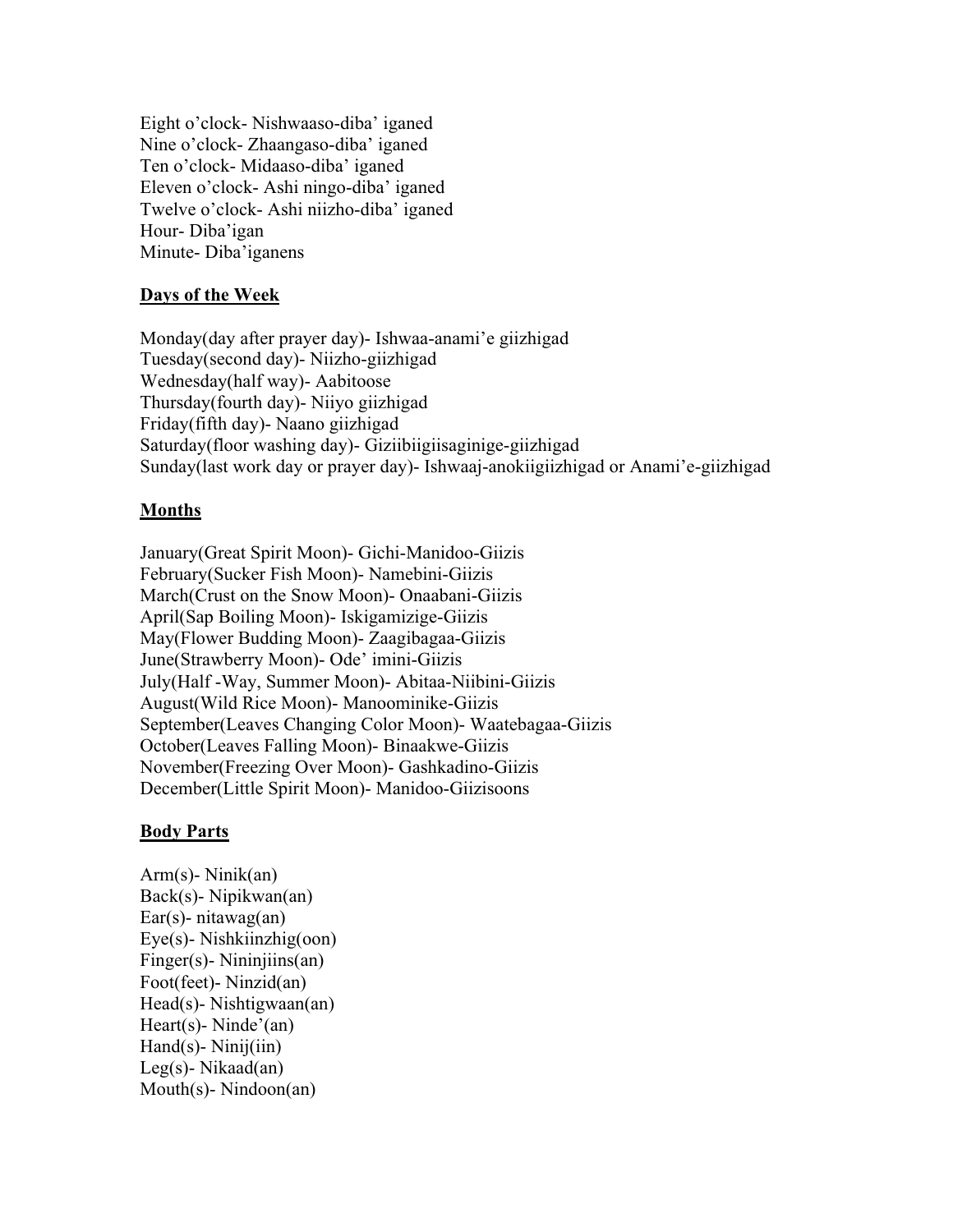Eight o'clock- Nishwaaso-diba' iganed Nine o'clock- Zhaangaso-diba' iganed Ten o'clock- Midaaso-diba' iganed Eleven o'clock- Ashi ningo-diba' iganed Twelve o'clock- Ashi niizho-diba' iganed Hour- Diba'igan Minute- Diba'iganens

# **Days of the Week**

Monday(day after prayer day)- Ishwaa-anami'e giizhigad Tuesday(second day)- Niizho-giizhigad Wednesday(half way)- Aabitoose Thursday(fourth day)- Niiyo giizhigad Friday(fifth day)- Naano giizhigad Saturday(floor washing day)- Giziibiigiisaginige-giizhigad Sunday(last work day or prayer day)- Ishwaaj-anokiigiizhigad or Anami'e-giizhigad

#### **Months**

January(Great Spirit Moon)- Gichi-Manidoo-Giizis February(Sucker Fish Moon)- Namebini-Giizis March(Crust on the Snow Moon)- Onaabani-Giizis April(Sap Boiling Moon)- Iskigamizige-Giizis May(Flower Budding Moon)- Zaagibagaa-Giizis June(Strawberry Moon)- Ode' imini-Giizis July(Half -Way, Summer Moon)- Abitaa-Niibini-Giizis August(Wild Rice Moon)- Manoominike-Giizis September(Leaves Changing Color Moon)- Waatebagaa-Giizis October(Leaves Falling Moon)- Binaakwe-Giizis November(Freezing Over Moon)- Gashkadino-Giizis December(Little Spirit Moon)- Manidoo-Giizisoons

#### **Body Parts**

Arm(s)- Ninik(an) Back(s)- Nipikwan(an) Ear(s)- nitawag(an) Eye(s)- Nishkiinzhig(oon) Finger(s)- Nininjiins(an) Foot(feet)- Ninzid(an) Head(s)- Nishtigwaan(an) Heart(s)- Ninde'(an)  $Hand(s)$ - Ninij $(iin)$ Leg(s)- Nikaad(an) Mouth(s)- Nindoon(an)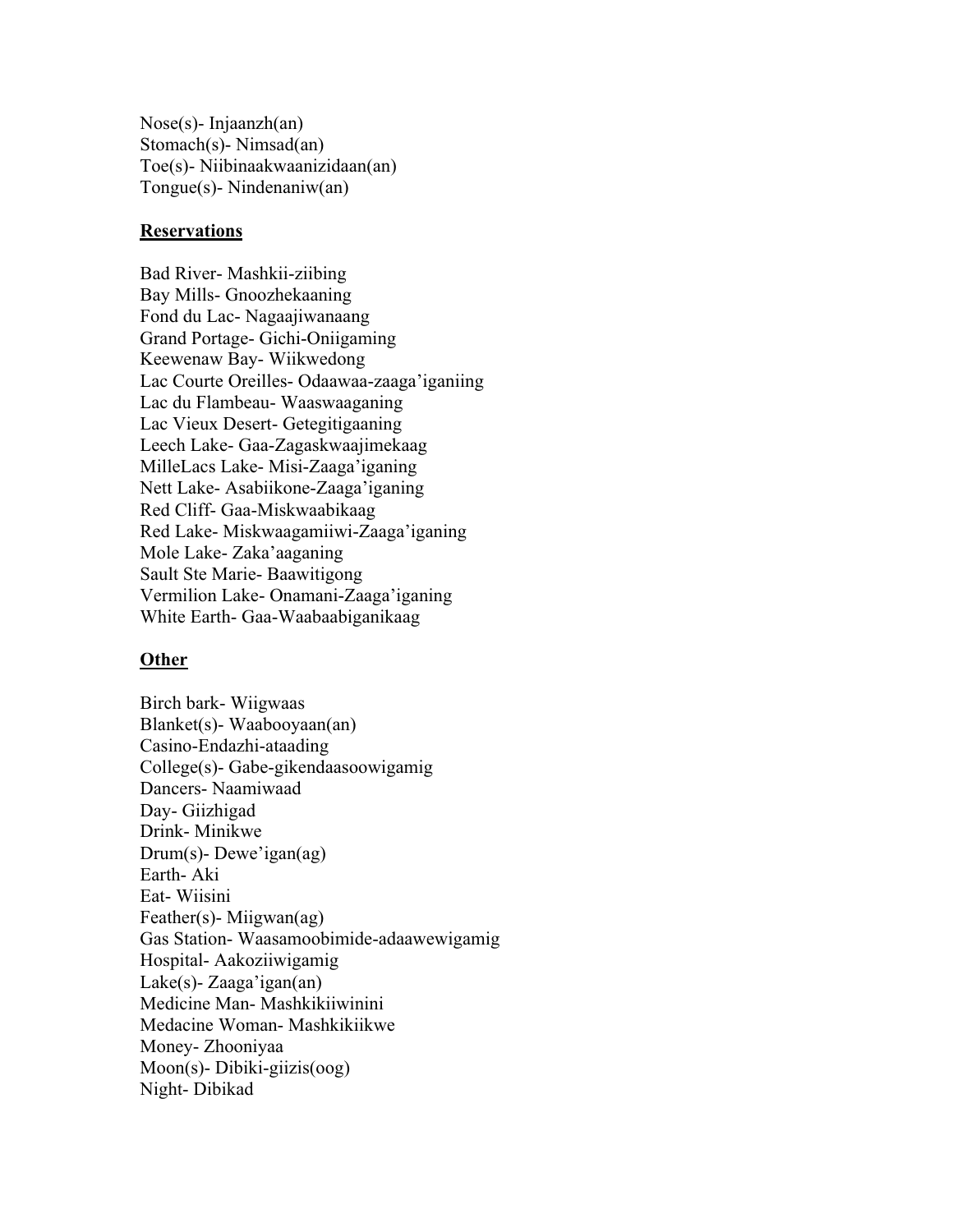Nose(s)- Injaanzh(an) Stomach(s)- Nimsad(an) Toe(s)- Niibinaakwaanizidaan(an) Tongue(s)- Nindenaniw(an)

#### **Reservations**

Bad River- Mashkii-ziibing Bay Mills- Gnoozhekaaning Fond du Lac- Nagaajiwanaang Grand Portage- Gichi-Oniigaming Keewenaw Bay- Wiikwedong Lac Courte Oreilles- Odaawaa-zaaga'iganiing Lac du Flambeau- Waaswaaganing Lac Vieux Desert- Getegitigaaning Leech Lake- Gaa-Zagaskwaajimekaag MilleLacs Lake- Misi-Zaaga'iganing Nett Lake- Asabiikone-Zaaga'iganing Red Cliff- Gaa-Miskwaabikaag Red Lake- Miskwaagamiiwi-Zaaga'iganing Mole Lake- Zaka'aaganing Sault Ste Marie- Baawitigong Vermilion Lake- Onamani-Zaaga'iganing White Earth- Gaa-Waabaabiganikaag

#### **Other**

Birch bark- Wiigwaas Blanket(s)- Waabooyaan(an) Casino-Endazhi-ataading College(s)- Gabe-gikendaasoowigamig Dancers- Naamiwaad Day- Giizhigad Drink- Minikwe Drum(s)- Dewe'igan(ag) Earth- Aki Eat- Wiisini Feather(s)- Miigwan(ag) Gas Station- Waasamoobimide-adaawewigamig Hospital- Aakoziiwigamig Lake(s)- Zaaga'igan(an) Medicine Man- Mashkikiiwinini Medacine Woman- Mashkikiikwe Money- Zhooniyaa Moon(s)- Dibiki-giizis(oog) Night- Dibikad